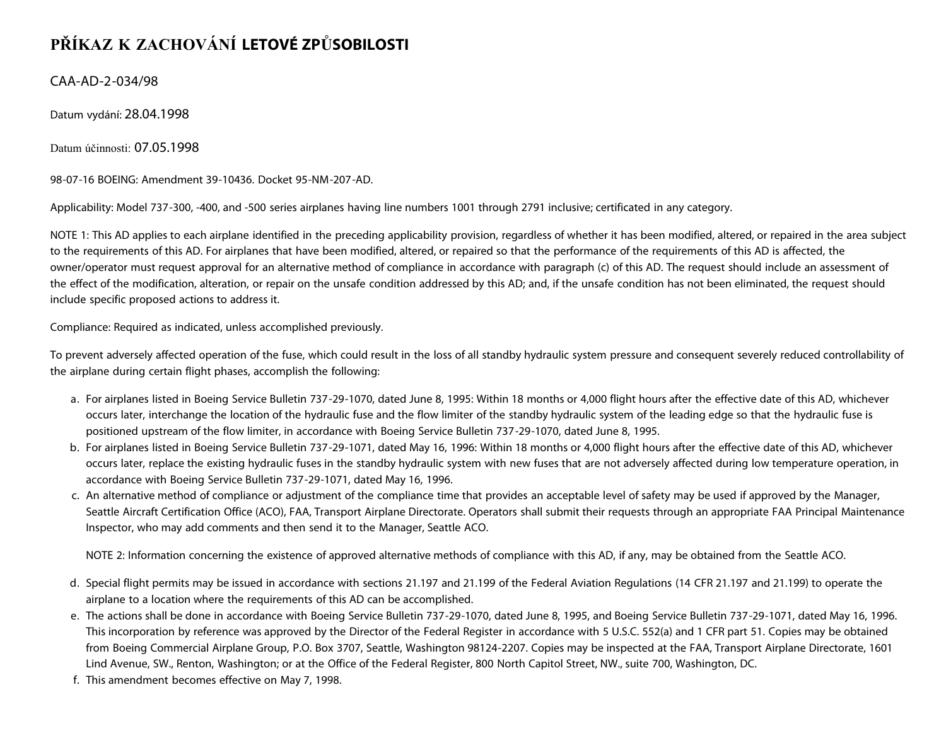## **PŘÍKAZ K ZACHOVÁNÍ LETOVÉ ZPŮSOBILOSTI**

CAA-AD-2-034/98

Datum vydání: 28.04.1998

Datum účinnosti: 07.05.1998

98-07-16 BOEING: Amendment 39-10436. Docket 95-NM-207-AD.

Applicability: Model 737-300, -400, and -500 series airplanes having line numbers 1001 through 2791 inclusive; certificated in any category.

NOTE 1: This AD applies to each airplane identified in the preceding applicability provision, regardless of whether it has been modified, altered, or repaired in the area subject to the requirements of this AD. For airplanes that have been modified, altered, or repaired so that the performance of the requirements of this AD is affected, the owner/operator must request approval for an alternative method of compliance in accordance with paragraph (c) of this AD. The request should include an assessment of the effect of the modification, alteration, or repair on the unsafe condition addressed by this AD; and, if the unsafe condition has not been eliminated, the request should include specific proposed actions to address it.

Compliance: Required as indicated, unless accomplished previously.

To prevent adversely affected operation of the fuse, which could result in the loss of all standby hydraulic system pressure and consequent severely reduced controllability of the airplane during certain flight phases, accomplish the following:

- a. For airplanes listed in Boeing Service Bulletin 737-29-1070, dated June 8, 1995: Within 18 months or 4,000 flight hours after the effective date of this AD, whichever occurs later, interchange the location of the hydraulic fuse and the flow limiter of the standby hydraulic system of the leading edge so that the hydraulic fuse is positioned upstream of the flow limiter, in accordance with Boeing Service Bulletin 737-29-1070, dated June 8, 1995.
- b. For airplanes listed in Boeing Service Bulletin 737-29-1071, dated May 16, 1996: Within 18 months or 4,000 flight hours after the effective date of this AD, whichever occurs later, replace the existing hydraulic fuses in the standby hydraulic system with new fuses that are not adversely affected during low temperature operation, in accordance with Boeing Service Bulletin 737-29-1071, dated May 16, 1996.
- c. An alternative method of compliance or adjustment of the compliance time that provides an acceptable level of safety may be used if approved by the Manager, Seattle Aircraft Certification Office (ACO), FAA, Transport Airplane Directorate. Operators shall submit their requests through an appropriate FAA Principal Maintenance Inspector, who may add comments and then send it to the Manager, Seattle ACO.

NOTE 2: Information concerning the existence of approved alternative methods of compliance with this AD, if any, may be obtained from the Seattle ACO.

- d. Special flight permits may be issued in accordance with sections 21.197 and 21.199 of the Federal Aviation Regulations (14 CFR 21.197 and 21.199) to operate the airplane to a location where the requirements of this AD can be accomplished.
- e. The actions shall be done in accordance with Boeing Service Bulletin 737-29-1070, dated June 8, 1995, and Boeing Service Bulletin 737-29-1071, dated May 16, 1996. This incorporation by reference was approved by the Director of the Federal Register in accordance with 5 U.S.C. 552(a) and 1 CFR part 51. Copies may be obtained from Boeing Commercial Airplane Group, P.O. Box 3707, Seattle, Washington 98124-2207. Copies may be inspected at the FAA, Transport Airplane Directorate, 1601 Lind Avenue, SW., Renton, Washington; or at the Office of the Federal Register, 800 North Capitol Street, NW., suite 700, Washington, DC.
- f. This amendment becomes effective on May 7, 1998.